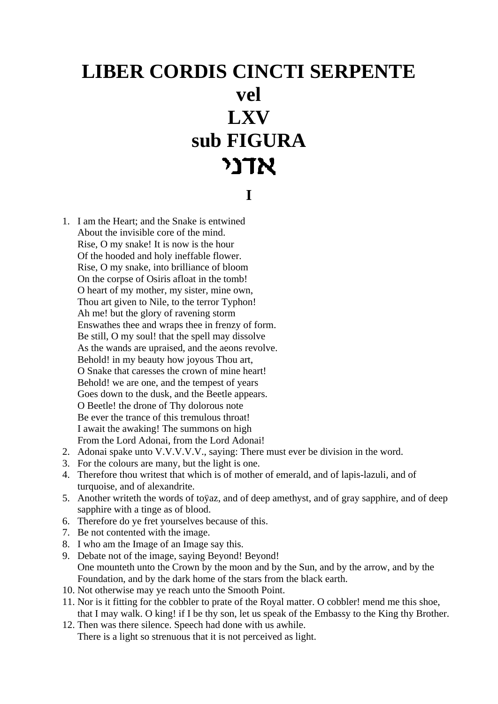# **LIBER CORDIS CINCTI SERPENTE vel LXV sub FIGURA** אדני

### **I**

- 1. I am the Heart; and the Snake is entwined About the invisible core of the mind. Rise, O my snake! It is now is the hour Of the hooded and holy ineffable flower. Rise, O my snake, into brilliance of bloom On the corpse of Osiris afloat in the tomb! O heart of my mother, my sister, mine own, Thou art given to Nile, to the terror Typhon! Ah me! but the glory of ravening storm Enswathes thee and wraps thee in frenzy of form. Be still, O my soul! that the spell may dissolve As the wands are upraised, and the aeons revolve. Behold! in my beauty how joyous Thou art, O Snake that caresses the crown of mine heart! Behold! we are one, and the tempest of years Goes down to the dusk, and the Beetle appears. O Beetle! the drone of Thy dolorous note Be ever the trance of this tremulous throat! I await the awaking! The summons on high From the Lord Adonai, from the Lord Adonai!
- 2. Adonai spake unto V.V.V.V.V., saying: There must ever be division in the word.
- 3. For the colours are many, but the light is one.
- 4. Therefore thou writest that which is of mother of emerald, and of lapis-lazuli, and of turquoise, and of alexandrite.
- 5. Another writeth the words of toÿaz, and of deep amethyst, and of gray sapphire, and of deep sapphire with a tinge as of blood.
- 6. Therefore do ye fret yourselves because of this.
- 7. Be not contented with the image.
- 8. I who am the Image of an Image say this.
- 9. Debate not of the image, saying Beyond! Beyond! One mounteth unto the Crown by the moon and by the Sun, and by the arrow, and by the Foundation, and by the dark home of the stars from the black earth.
- 10. Not otherwise may ye reach unto the Smooth Point.
- 11. Nor is it fitting for the cobbler to prate of the Royal matter. O cobbler! mend me this shoe, that I may walk. O king! if I be thy son, let us speak of the Embassy to the King thy Brother.
- 12. Then was there silence. Speech had done with us awhile. There is a light so strenuous that it is not perceived as light.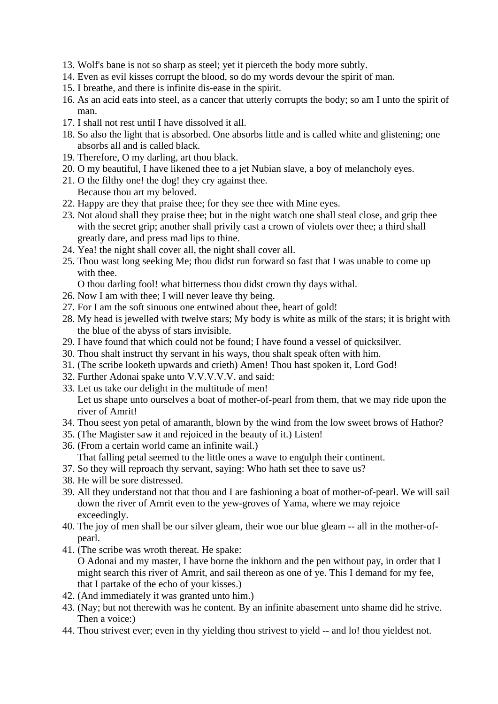- 13. Wolf's bane is not so sharp as steel; yet it pierceth the body more subtly.
- 14. Even as evil kisses corrupt the blood, so do my words devour the spirit of man.
- 15. I breathe, and there is infinite dis-ease in the spirit.
- 16. As an acid eats into steel, as a cancer that utterly corrupts the body; so am I unto the spirit of man.
- 17. I shall not rest until I have dissolved it all.
- 18. So also the light that is absorbed. One absorbs little and is called white and glistening; one absorbs all and is called black.
- 19. Therefore, O my darling, art thou black.
- 20. O my beautiful, I have likened thee to a jet Nubian slave, a boy of melancholy eyes.
- 21. O the filthy one! the dog! they cry against thee. Because thou art my beloved.
- 22. Happy are they that praise thee; for they see thee with Mine eyes.
- 23. Not aloud shall they praise thee; but in the night watch one shall steal close, and grip thee with the secret grip; another shall privily cast a crown of violets over thee; a third shall greatly dare, and press mad lips to thine.
- 24. Yea! the night shall cover all, the night shall cover all.
- 25. Thou wast long seeking Me; thou didst run forward so fast that I was unable to come up with thee.
	- O thou darling fool! what bitterness thou didst crown thy days withal.
- 26. Now I am with thee; I will never leave thy being.
- 27. For I am the soft sinuous one entwined about thee, heart of gold!
- 28. My head is jewelled with twelve stars; My body is white as milk of the stars; it is bright with the blue of the abyss of stars invisible.
- 29. I have found that which could not be found; I have found a vessel of quicksilver.
- 30. Thou shalt instruct thy servant in his ways, thou shalt speak often with him.
- 31. (The scribe looketh upwards and crieth) Amen! Thou hast spoken it, Lord God!
- 32. Further Adonai spake unto V.V.V.V.V. and said:
- 33. Let us take our delight in the multitude of men! Let us shape unto ourselves a boat of mother-of-pearl from them, that we may ride upon the river of Amrit!
- 34. Thou seest yon petal of amaranth, blown by the wind from the low sweet brows of Hathor?
- 35. (The Magister saw it and rejoiced in the beauty of it.) Listen!
- 36. (From a certain world came an infinite wail.)
	- That falling petal seemed to the little ones a wave to engulph their continent.
- 37. So they will reproach thy servant, saying: Who hath set thee to save us?
- 38. He will be sore distressed.
- 39. All they understand not that thou and I are fashioning a boat of mother-of-pearl. We will sail down the river of Amrit even to the yew-groves of Yama, where we may rejoice exceedingly.
- 40. The joy of men shall be our silver gleam, their woe our blue gleam -- all in the mother-ofpearl.
- 41. (The scribe was wroth thereat. He spake: O Adonai and my master, I have borne the inkhorn and the pen without pay, in order that I might search this river of Amrit, and sail thereon as one of ye. This I demand for my fee, that I partake of the echo of your kisses.)
- 42. (And immediately it was granted unto him.)
- 43. (Nay; but not therewith was he content. By an infinite abasement unto shame did he strive. Then a voice:)
- 44. Thou strivest ever; even in thy yielding thou strivest to yield -- and lo! thou yieldest not.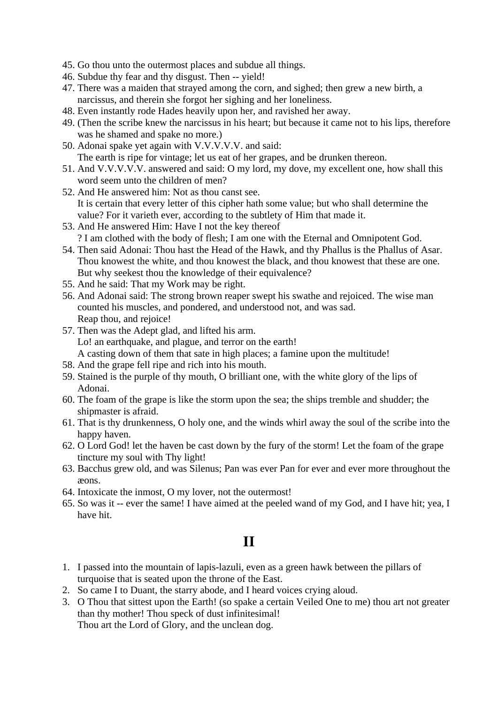- 45. Go thou unto the outermost places and subdue all things.
- 46. Subdue thy fear and thy disgust. Then -- yield!
- 47. There was a maiden that strayed among the corn, and sighed; then grew a new birth, a narcissus, and therein she forgot her sighing and her loneliness.
- 48. Even instantly rode Hades heavily upon her, and ravished her away.
- 49. (Then the scribe knew the narcissus in his heart; but because it came not to his lips, therefore was he shamed and spake no more.)
- 50. Adonai spake yet again with V.V.V.V.V. and said: The earth is ripe for vintage; let us eat of her grapes, and be drunken thereon.
- 51. And V.V.V.V.V. answered and said: O my lord, my dove, my excellent one, how shall this word seem unto the children of men?
- 52. And He answered him: Not as thou canst see. It is certain that every letter of this cipher hath some value; but who shall determine the value? For it varieth ever, according to the subtlety of Him that made it.
- 53. And He answered Him: Have I not the key thereof ? I am clothed with the body of flesh; I am one with the Eternal and Omnipotent God.
- 54. Then said Adonai: Thou hast the Head of the Hawk, and thy Phallus is the Phallus of Asar. Thou knowest the white, and thou knowest the black, and thou knowest that these are one. But why seekest thou the knowledge of their equivalence?
- 55. And he said: That my Work may be right.
- 56. And Adonai said: The strong brown reaper swept his swathe and rejoiced. The wise man counted his muscles, and pondered, and understood not, and was sad. Reap thou, and rejoice!
- 57. Then was the Adept glad, and lifted his arm. Lo! an earthquake, and plague, and terror on the earth! A casting down of them that sate in high places; a famine upon the multitude!
- 58. And the grape fell ripe and rich into his mouth.
- 59. Stained is the purple of thy mouth, O brilliant one, with the white glory of the lips of Adonai.
- 60. The foam of the grape is like the storm upon the sea; the ships tremble and shudder; the shipmaster is afraid.
- 61. That is thy drunkenness, O holy one, and the winds whirl away the soul of the scribe into the happy haven.
- 62. O Lord God! let the haven be cast down by the fury of the storm! Let the foam of the grape tincture my soul with Thy light!
- 63. Bacchus grew old, and was Silenus; Pan was ever Pan for ever and ever more throughout the æons.
- 64. Intoxicate the inmost, O my lover, not the outermost!
- 65. So was it -- ever the same! I have aimed at the peeled wand of my God, and I have hit; yea, I have hit.

## **II**

- 1. I passed into the mountain of lapis-lazuli, even as a green hawk between the pillars of turquoise that is seated upon the throne of the East.
- 2. So came I to Duant, the starry abode, and I heard voices crying aloud.
- 3. O Thou that sittest upon the Earth! (so spake a certain Veiled One to me) thou art not greater than thy mother! Thou speck of dust infinitesimal! Thou art the Lord of Glory, and the unclean dog.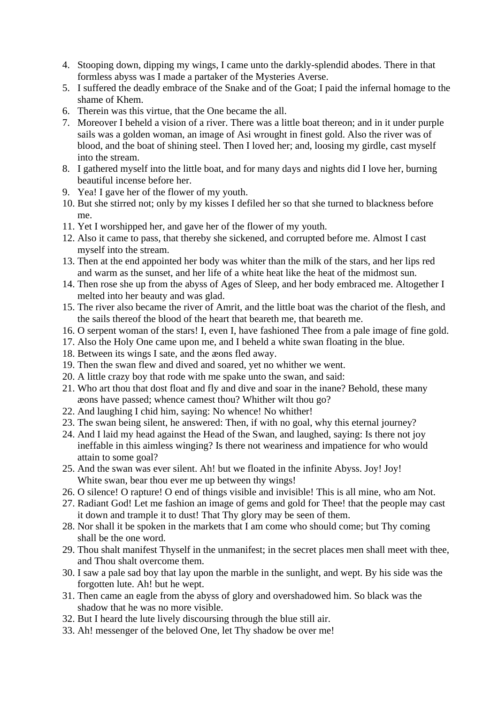- 4. Stooping down, dipping my wings, I came unto the darkly-splendid abodes. There in that formless abyss was I made a partaker of the Mysteries Averse.
- 5. I suffered the deadly embrace of the Snake and of the Goat; I paid the infernal homage to the shame of Khem.
- 6. Therein was this virtue, that the One became the all.
- 7. Moreover I beheld a vision of a river. There was a little boat thereon; and in it under purple sails was a golden woman, an image of Asi wrought in finest gold. Also the river was of blood, and the boat of shining steel. Then I loved her; and, loosing my girdle, cast myself into the stream.
- 8. I gathered myself into the little boat, and for many days and nights did I love her, burning beautiful incense before her.
- 9. Yea! I gave her of the flower of my youth.
- 10. But she stirred not; only by my kisses I defiled her so that she turned to blackness before me.
- 11. Yet I worshipped her, and gave her of the flower of my youth.
- 12. Also it came to pass, that thereby she sickened, and corrupted before me. Almost I cast myself into the stream.
- 13. Then at the end appointed her body was whiter than the milk of the stars, and her lips red and warm as the sunset, and her life of a white heat like the heat of the midmost sun.
- 14. Then rose she up from the abyss of Ages of Sleep, and her body embraced me. Altogether I melted into her beauty and was glad.
- 15. The river also became the river of Amrit, and the little boat was the chariot of the flesh, and the sails thereof the blood of the heart that beareth me, that beareth me.
- 16. O serpent woman of the stars! I, even I, have fashioned Thee from a pale image of fine gold.
- 17. Also the Holy One came upon me, and I beheld a white swan floating in the blue.
- 18. Between its wings I sate, and the æons fled away.
- 19. Then the swan flew and dived and soared, yet no whither we went.
- 20. A little crazy boy that rode with me spake unto the swan, and said:
- 21. Who art thou that dost float and fly and dive and soar in the inane? Behold, these many æons have passed; whence camest thou? Whither wilt thou go?
- 22. And laughing I chid him, saying: No whence! No whither!
- 23. The swan being silent, he answered: Then, if with no goal, why this eternal journey?
- 24. And I laid my head against the Head of the Swan, and laughed, saying: Is there not joy ineffable in this aimless winging? Is there not weariness and impatience for who would attain to some goal?
- 25. And the swan was ever silent. Ah! but we floated in the infinite Abyss. Joy! Joy! White swan, bear thou ever me up between thy wings!
- 26. O silence! O rapture! O end of things visible and invisible! This is all mine, who am Not.
- 27. Radiant God! Let me fashion an image of gems and gold for Thee! that the people may cast it down and trample it to dust! That Thy glory may be seen of them.
- 28. Nor shall it be spoken in the markets that I am come who should come; but Thy coming shall be the one word.
- 29. Thou shalt manifest Thyself in the unmanifest; in the secret places men shall meet with thee, and Thou shalt overcome them.
- 30. I saw a pale sad boy that lay upon the marble in the sunlight, and wept. By his side was the forgotten lute. Ah! but he wept.
- 31. Then came an eagle from the abyss of glory and overshadowed him. So black was the shadow that he was no more visible.
- 32. But I heard the lute lively discoursing through the blue still air.
- 33. Ah! messenger of the beloved One, let Thy shadow be over me!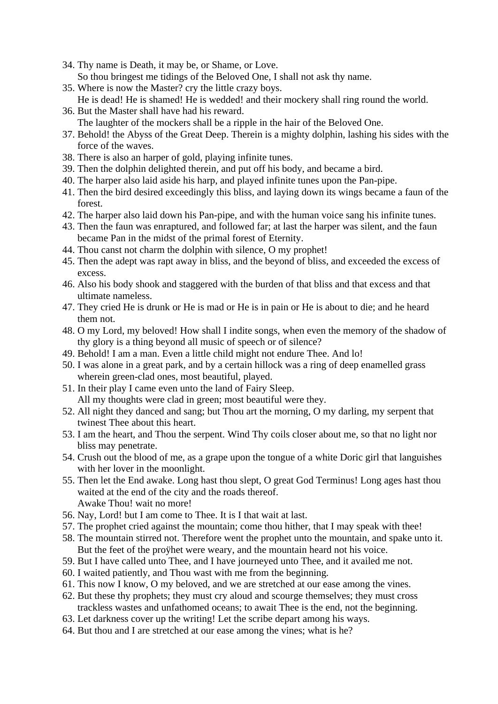- 34. Thy name is Death, it may be, or Shame, or Love. So thou bringest me tidings of the Beloved One, I shall not ask thy name.
- 35. Where is now the Master? cry the little crazy boys. He is dead! He is shamed! He is wedded! and their mockery shall ring round the world.
- 36. But the Master shall have had his reward. The laughter of the mockers shall be a ripple in the hair of the Beloved One.
- 37. Behold! the Abyss of the Great Deep. Therein is a mighty dolphin, lashing his sides with the force of the waves.
- 38. There is also an harper of gold, playing infinite tunes.
- 39. Then the dolphin delighted therein, and put off his body, and became a bird.
- 40. The harper also laid aside his harp, and played infinite tunes upon the Pan-pipe.
- 41. Then the bird desired exceedingly this bliss, and laying down its wings became a faun of the forest.
- 42. The harper also laid down his Pan-pipe, and with the human voice sang his infinite tunes.
- 43. Then the faun was enraptured, and followed far; at last the harper was silent, and the faun became Pan in the midst of the primal forest of Eternity.
- 44. Thou canst not charm the dolphin with silence, O my prophet!
- 45. Then the adept was rapt away in bliss, and the beyond of bliss, and exceeded the excess of excess.
- 46. Also his body shook and staggered with the burden of that bliss and that excess and that ultimate nameless.
- 47. They cried He is drunk or He is mad or He is in pain or He is about to die; and he heard them not.
- 48. O my Lord, my beloved! How shall I indite songs, when even the memory of the shadow of thy glory is a thing beyond all music of speech or of silence?
- 49. Behold! I am a man. Even a little child might not endure Thee. And lo!
- 50. I was alone in a great park, and by a certain hillock was a ring of deep enamelled grass wherein green-clad ones, most beautiful, played.
- 51. In their play I came even unto the land of Fairy Sleep. All my thoughts were clad in green; most beautiful were they.
- 52. All night they danced and sang; but Thou art the morning, O my darling, my serpent that twinest Thee about this heart.
- 53. I am the heart, and Thou the serpent. Wind Thy coils closer about me, so that no light nor bliss may penetrate.
- 54. Crush out the blood of me, as a grape upon the tongue of a white Doric girl that languishes with her lover in the moonlight.
- 55. Then let the End awake. Long hast thou slept, O great God Terminus! Long ages hast thou waited at the end of the city and the roads thereof. Awake Thou! wait no more!
- 56. Nay, Lord! but I am come to Thee. It is I that wait at last.
- 57. The prophet cried against the mountain; come thou hither, that I may speak with thee!
- 58. The mountain stirred not. Therefore went the prophet unto the mountain, and spake unto it. But the feet of the proÿhet were weary, and the mountain heard not his voice.
- 59. But I have called unto Thee, and I have journeyed unto Thee, and it availed me not.
- 60. I waited patiently, and Thou wast with me from the beginning.
- 61. This now I know, O my beloved, and we are stretched at our ease among the vines.
- 62. But these thy prophets; they must cry aloud and scourge themselves; they must cross trackless wastes and unfathomed oceans; to await Thee is the end, not the beginning.
- 63. Let darkness cover up the writing! Let the scribe depart among his ways.
- 64. But thou and I are stretched at our ease among the vines; what is he?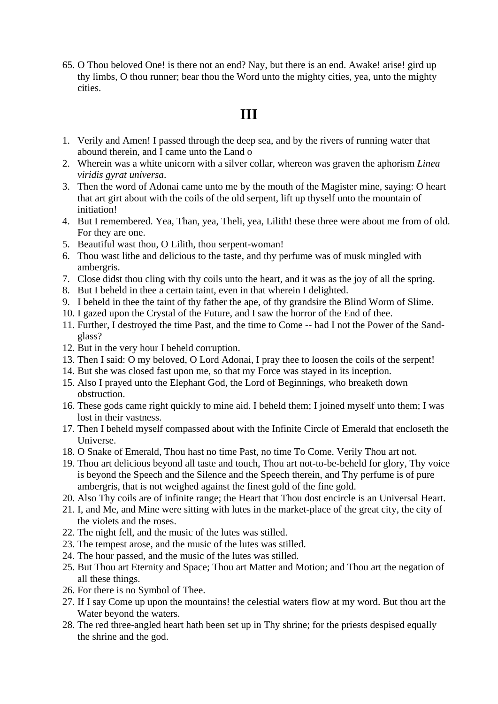65. O Thou beloved One! is there not an end? Nay, but there is an end. Awake! arise! gird up thy limbs, O thou runner; bear thou the Word unto the mighty cities, yea, unto the mighty cities.

## **III**

- 1. Verily and Amen! I passed through the deep sea, and by the rivers of running water that abound therein, and I came unto the Land o
- 2. Wherein was a white unicorn with a silver collar, whereon was graven the aphorism *Linea viridis gyrat universa*.
- 3. Then the word of Adonai came unto me by the mouth of the Magister mine, saying: O heart that art girt about with the coils of the old serpent, lift up thyself unto the mountain of initiation!
- 4. But I remembered. Yea, Than, yea, Theli, yea, Lilith! these three were about me from of old. For they are one.
- 5. Beautiful wast thou, O Lilith, thou serpent-woman!
- 6. Thou wast lithe and delicious to the taste, and thy perfume was of musk mingled with ambergris.
- 7. Close didst thou cling with thy coils unto the heart, and it was as the joy of all the spring.
- 8. But I beheld in thee a certain taint, even in that wherein I delighted.
- 9. I beheld in thee the taint of thy father the ape, of thy grandsire the Blind Worm of Slime.
- 10. I gazed upon the Crystal of the Future, and I saw the horror of the End of thee.
- 11. Further, I destroyed the time Past, and the time to Come -- had I not the Power of the Sandglass?
- 12. But in the very hour I beheld corruption.
- 13. Then I said: O my beloved, O Lord Adonai, I pray thee to loosen the coils of the serpent!
- 14. But she was closed fast upon me, so that my Force was stayed in its inception.
- 15. Also I prayed unto the Elephant God, the Lord of Beginnings, who breaketh down obstruction.
- 16. These gods came right quickly to mine aid. I beheld them; I joined myself unto them; I was lost in their vastness.
- 17. Then I beheld myself compassed about with the Infinite Circle of Emerald that encloseth the Universe.
- 18. O Snake of Emerald, Thou hast no time Past, no time To Come. Verily Thou art not.
- 19. Thou art delicious beyond all taste and touch, Thou art not-to-be-beheld for glory, Thy voice is beyond the Speech and the Silence and the Speech therein, and Thy perfume is of pure ambergris, that is not weighed against the finest gold of the fine gold.
- 20. Also Thy coils are of infinite range; the Heart that Thou dost encircle is an Universal Heart.
- 21. I, and Me, and Mine were sitting with lutes in the market-place of the great city, the city of the violets and the roses.
- 22. The night fell, and the music of the lutes was stilled.
- 23. The tempest arose, and the music of the lutes was stilled.
- 24. The hour passed, and the music of the lutes was stilled.
- 25. But Thou art Eternity and Space; Thou art Matter and Motion; and Thou art the negation of all these things.
- 26. For there is no Symbol of Thee.
- 27. If I say Come up upon the mountains! the celestial waters flow at my word. But thou art the Water beyond the waters.
- 28. The red three-angled heart hath been set up in Thy shrine; for the priests despised equally the shrine and the god.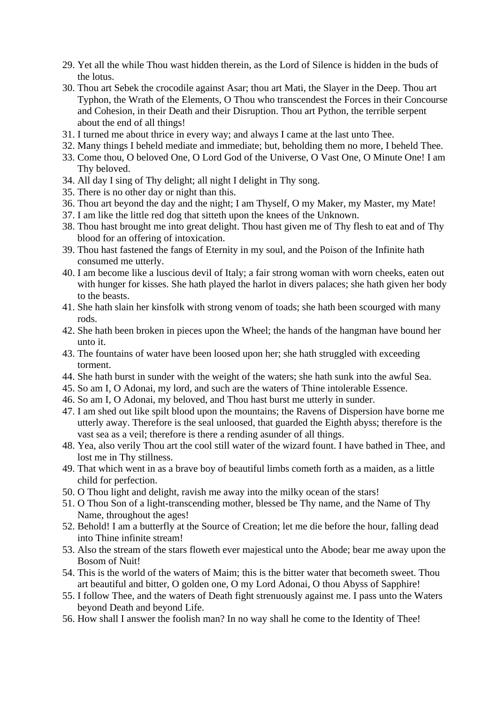- 29. Yet all the while Thou wast hidden therein, as the Lord of Silence is hidden in the buds of the lotus.
- 30. Thou art Sebek the crocodile against Asar; thou art Mati, the Slayer in the Deep. Thou art Typhon, the Wrath of the Elements, O Thou who transcendest the Forces in their Concourse and Cohesion, in their Death and their Disruption. Thou art Python, the terrible serpent about the end of all things!
- 31. I turned me about thrice in every way; and always I came at the last unto Thee.
- 32. Many things I beheld mediate and immediate; but, beholding them no more, I beheld Thee.
- 33. Come thou, O beloved One, O Lord God of the Universe, O Vast One, O Minute One! I am Thy beloved.
- 34. All day I sing of Thy delight; all night I delight in Thy song.
- 35. There is no other day or night than this.
- 36. Thou art beyond the day and the night; I am Thyself, O my Maker, my Master, my Mate!
- 37. I am like the little red dog that sitteth upon the knees of the Unknown.
- 38. Thou hast brought me into great delight. Thou hast given me of Thy flesh to eat and of Thy blood for an offering of intoxication.
- 39. Thou hast fastened the fangs of Eternity in my soul, and the Poison of the Infinite hath consumed me utterly.
- 40. I am become like a luscious devil of Italy; a fair strong woman with worn cheeks, eaten out with hunger for kisses. She hath played the harlot in divers palaces; she hath given her body to the beasts.
- 41. She hath slain her kinsfolk with strong venom of toads; she hath been scourged with many rods.
- 42. She hath been broken in pieces upon the Wheel; the hands of the hangman have bound her unto it.
- 43. The fountains of water have been loosed upon her; she hath struggled with exceeding torment.
- 44. She hath burst in sunder with the weight of the waters; she hath sunk into the awful Sea.
- 45. So am I, O Adonai, my lord, and such are the waters of Thine intolerable Essence.
- 46. So am I, O Adonai, my beloved, and Thou hast burst me utterly in sunder.
- 47. I am shed out like spilt blood upon the mountains; the Ravens of Dispersion have borne me utterly away. Therefore is the seal unloosed, that guarded the Eighth abyss; therefore is the vast sea as a veil; therefore is there a rending asunder of all things.
- 48. Yea, also verily Thou art the cool still water of the wizard fount. I have bathed in Thee, and lost me in Thy stillness.
- 49. That which went in as a brave boy of beautiful limbs cometh forth as a maiden, as a little child for perfection.
- 50. O Thou light and delight, ravish me away into the milky ocean of the stars!
- 51. O Thou Son of a light-transcending mother, blessed be Thy name, and the Name of Thy Name, throughout the ages!
- 52. Behold! I am a butterfly at the Source of Creation; let me die before the hour, falling dead into Thine infinite stream!
- 53. Also the stream of the stars floweth ever majestical unto the Abode; bear me away upon the Bosom of Nuit!
- 54. This is the world of the waters of Maim; this is the bitter water that becometh sweet. Thou art beautiful and bitter, O golden one, O my Lord Adonai, O thou Abyss of Sapphire!
- 55. I follow Thee, and the waters of Death fight strenuously against me. I pass unto the Waters beyond Death and beyond Life.
- 56. How shall I answer the foolish man? In no way shall he come to the Identity of Thee!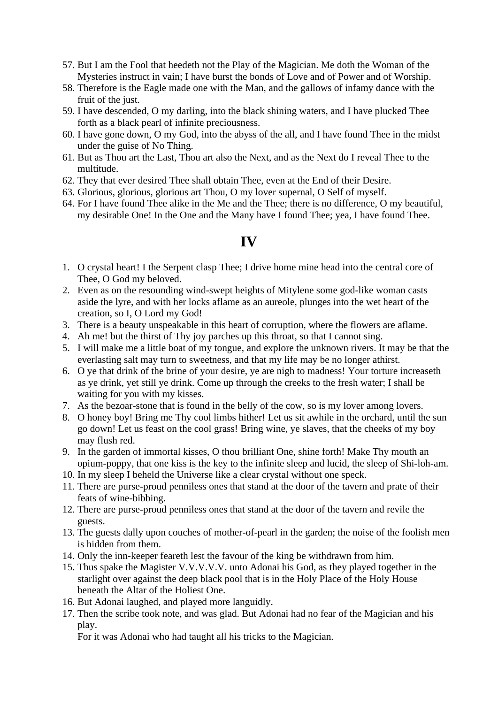- 57. But I am the Fool that heedeth not the Play of the Magician. Me doth the Woman of the Mysteries instruct in vain; I have burst the bonds of Love and of Power and of Worship.
- 58. Therefore is the Eagle made one with the Man, and the gallows of infamy dance with the fruit of the just.
- 59. I have descended, O my darling, into the black shining waters, and I have plucked Thee forth as a black pearl of infinite preciousness.
- 60. I have gone down, O my God, into the abyss of the all, and I have found Thee in the midst under the guise of No Thing.
- 61. But as Thou art the Last, Thou art also the Next, and as the Next do I reveal Thee to the multitude.
- 62. They that ever desired Thee shall obtain Thee, even at the End of their Desire.
- 63. Glorious, glorious, glorious art Thou, O my lover supernal, O Self of myself.
- 64. For I have found Thee alike in the Me and the Thee; there is no difference, O my beautiful, my desirable One! In the One and the Many have I found Thee; yea, I have found Thee.

### **IV**

- 1. O crystal heart! I the Serpent clasp Thee; I drive home mine head into the central core of Thee, O God my beloved.
- 2. Even as on the resounding wind-swept heights of Mitylene some god-like woman casts aside the lyre, and with her locks aflame as an aureole, plunges into the wet heart of the creation, so I, O Lord my God!
- 3. There is a beauty unspeakable in this heart of corruption, where the flowers are aflame.
- 4. Ah me! but the thirst of Thy joy parches up this throat, so that I cannot sing.
- 5. I will make me a little boat of my tongue, and explore the unknown rivers. It may be that the everlasting salt may turn to sweetness, and that my life may be no longer athirst.
- 6. O ye that drink of the brine of your desire, ye are nigh to madness! Your torture increaseth as ye drink, yet still ye drink. Come up through the creeks to the fresh water; I shall be waiting for you with my kisses.
- 7. As the bezoar-stone that is found in the belly of the cow, so is my lover among lovers.
- 8. O honey boy! Bring me Thy cool limbs hither! Let us sit awhile in the orchard, until the sun go down! Let us feast on the cool grass! Bring wine, ye slaves, that the cheeks of my boy may flush red.
- 9. In the garden of immortal kisses, O thou brilliant One, shine forth! Make Thy mouth an opium-poppy, that one kiss is the key to the infinite sleep and lucid, the sleep of Shi-loh-am.
- 10. In my sleep I beheld the Universe like a clear crystal without one speck.
- 11. There are purse-proud penniless ones that stand at the door of the tavern and prate of their feats of wine-bibbing.
- 12. There are purse-proud penniless ones that stand at the door of the tavern and revile the guests.
- 13. The guests dally upon couches of mother-of-pearl in the garden; the noise of the foolish men is hidden from them.
- 14. Only the inn-keeper feareth lest the favour of the king be withdrawn from him.
- 15. Thus spake the Magister V.V.V.V.V. unto Adonai his God, as they played together in the starlight over against the deep black pool that is in the Holy Place of the Holy House beneath the Altar of the Holiest One.
- 16. But Adonai laughed, and played more languidly.
- 17. Then the scribe took note, and was glad. But Adonai had no fear of the Magician and his play.

For it was Adonai who had taught all his tricks to the Magician.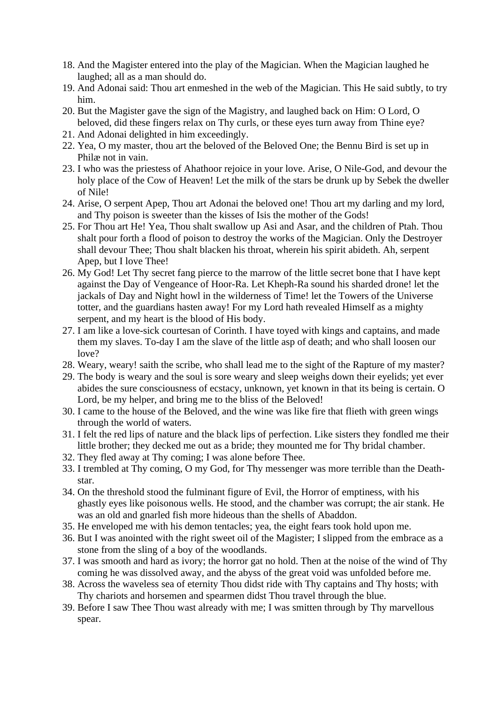- 18. And the Magister entered into the play of the Magician. When the Magician laughed he laughed; all as a man should do.
- 19. And Adonai said: Thou art enmeshed in the web of the Magician. This He said subtly, to try him.
- 20. But the Magister gave the sign of the Magistry, and laughed back on Him: O Lord, O beloved, did these fingers relax on Thy curls, or these eyes turn away from Thine eye?
- 21. And Adonai delighted in him exceedingly.
- 22. Yea, O my master, thou art the beloved of the Beloved One; the Bennu Bird is set up in Philæ not in vain.
- 23. I who was the priestess of Ahathoor rejoice in your love. Arise, O Nile-God, and devour the holy place of the Cow of Heaven! Let the milk of the stars be drunk up by Sebek the dweller of Nile!
- 24. Arise, O serpent Apep, Thou art Adonai the beloved one! Thou art my darling and my lord, and Thy poison is sweeter than the kisses of Isis the mother of the Gods!
- 25. For Thou art He! Yea, Thou shalt swallow up Asi and Asar, and the children of Ptah. Thou shalt pour forth a flood of poison to destroy the works of the Magician. Only the Destroyer shall devour Thee; Thou shalt blacken his throat, wherein his spirit abideth. Ah, serpent Apep, but I love Thee!
- 26. My God! Let Thy secret fang pierce to the marrow of the little secret bone that I have kept against the Day of Vengeance of Hoor-Ra. Let Kheph-Ra sound his sharded drone! let the jackals of Day and Night howl in the wilderness of Time! let the Towers of the Universe totter, and the guardians hasten away! For my Lord hath revealed Himself as a mighty serpent, and my heart is the blood of His body.
- 27. I am like a love-sick courtesan of Corinth. I have toyed with kings and captains, and made them my slaves. To-day I am the slave of the little asp of death; and who shall loosen our love?
- 28. Weary, weary! saith the scribe, who shall lead me to the sight of the Rapture of my master?
- 29. The body is weary and the soul is sore weary and sleep weighs down their eyelids; yet ever abides the sure consciousness of ecstacy, unknown, yet known in that its being is certain. O Lord, be my helper, and bring me to the bliss of the Beloved!
- 30. I came to the house of the Beloved, and the wine was like fire that flieth with green wings through the world of waters.
- 31. I felt the red lips of nature and the black lips of perfection. Like sisters they fondled me their little brother; they decked me out as a bride; they mounted me for Thy bridal chamber.
- 32. They fled away at Thy coming; I was alone before Thee.
- 33. I trembled at Thy coming, O my God, for Thy messenger was more terrible than the Deathstar.
- 34. On the threshold stood the fulminant figure of Evil, the Horror of emptiness, with his ghastly eyes like poisonous wells. He stood, and the chamber was corrupt; the air stank. He was an old and gnarled fish more hideous than the shells of Abaddon.
- 35. He enveloped me with his demon tentacles; yea, the eight fears took hold upon me.
- 36. But I was anointed with the right sweet oil of the Magister; I slipped from the embrace as a stone from the sling of a boy of the woodlands.
- 37. I was smooth and hard as ivory; the horror gat no hold. Then at the noise of the wind of Thy coming he was dissolved away, and the abyss of the great void was unfolded before me.
- 38. Across the waveless sea of eternity Thou didst ride with Thy captains and Thy hosts; with Thy chariots and horsemen and spearmen didst Thou travel through the blue.
- 39. Before I saw Thee Thou wast already with me; I was smitten through by Thy marvellous spear.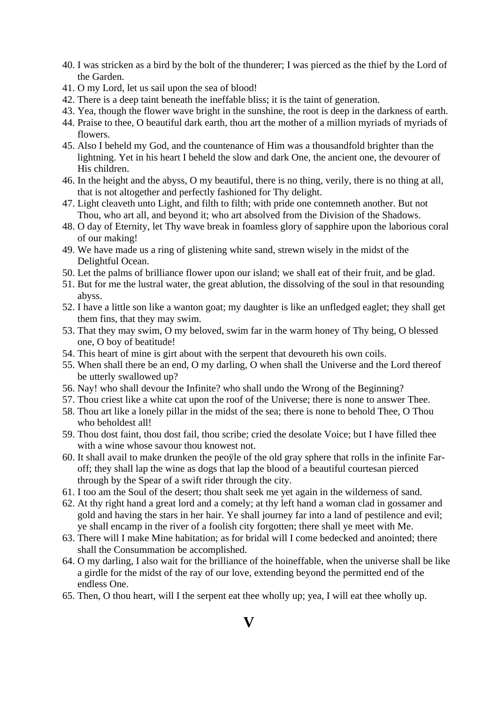- 40. I was stricken as a bird by the bolt of the thunderer; I was pierced as the thief by the Lord of the Garden.
- 41. O my Lord, let us sail upon the sea of blood!
- 42. There is a deep taint beneath the ineffable bliss; it is the taint of generation.
- 43. Yea, though the flower wave bright in the sunshine, the root is deep in the darkness of earth.
- 44. Praise to thee, O beautiful dark earth, thou art the mother of a million myriads of myriads of flowers.
- 45. Also I beheld my God, and the countenance of Him was a thousandfold brighter than the lightning. Yet in his heart I beheld the slow and dark One, the ancient one, the devourer of His children.
- 46. In the height and the abyss, O my beautiful, there is no thing, verily, there is no thing at all, that is not altogether and perfectly fashioned for Thy delight.
- 47. Light cleaveth unto Light, and filth to filth; with pride one contemneth another. But not Thou, who art all, and beyond it; who art absolved from the Division of the Shadows.
- 48. O day of Eternity, let Thy wave break in foamless glory of sapphire upon the laborious coral of our making!
- 49. We have made us a ring of glistening white sand, strewn wisely in the midst of the Delightful Ocean.
- 50. Let the palms of brilliance flower upon our island; we shall eat of their fruit, and be glad.
- 51. But for me the lustral water, the great ablution, the dissolving of the soul in that resounding abyss.
- 52. I have a little son like a wanton goat; my daughter is like an unfledged eaglet; they shall get them fins, that they may swim.
- 53. That they may swim, O my beloved, swim far in the warm honey of Thy being, O blessed one, O boy of beatitude!
- 54. This heart of mine is girt about with the serpent that devoureth his own coils.
- 55. When shall there be an end, O my darling, O when shall the Universe and the Lord thereof be utterly swallowed up?
- 56. Nay! who shall devour the Infinite? who shall undo the Wrong of the Beginning?
- 57. Thou criest like a white cat upon the roof of the Universe; there is none to answer Thee.
- 58. Thou art like a lonely pillar in the midst of the sea; there is none to behold Thee, O Thou who beholdest all!
- 59. Thou dost faint, thou dost fail, thou scribe; cried the desolate Voice; but I have filled thee with a wine whose savour thou knowest not.
- 60. It shall avail to make drunken the peoÿle of the old gray sphere that rolls in the infinite Faroff; they shall lap the wine as dogs that lap the blood of a beautiful courtesan pierced through by the Spear of a swift rider through the city.
- 61. I too am the Soul of the desert; thou shalt seek me yet again in the wilderness of sand.
- 62. At thy right hand a great lord and a comely; at thy left hand a woman clad in gossamer and gold and having the stars in her hair. Ye shall journey far into a land of pestilence and evil; ye shall encamp in the river of a foolish city forgotten; there shall ye meet with Me.
- 63. There will I make Mine habitation; as for bridal will I come bedecked and anointed; there shall the Consummation be accomplished.
- 64. O my darling, I also wait for the brilliance of the hoineffable, when the universe shall be like a girdle for the midst of the ray of our love, extending beyond the permitted end of the endless One.
- 65. Then, O thou heart, will I the serpent eat thee wholly up; yea, I will eat thee wholly up.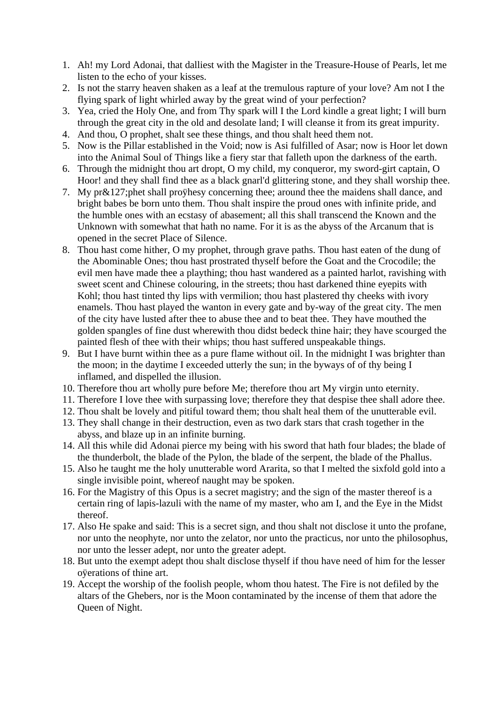- 1. Ah! my Lord Adonai, that dalliest with the Magister in the Treasure-House of Pearls, let me listen to the echo of your kisses.
- 2. Is not the starry heaven shaken as a leaf at the tremulous rapture of your love? Am not I the flying spark of light whirled away by the great wind of your perfection?
- 3. Yea, cried the Holy One, and from Thy spark will I the Lord kindle a great light; I will burn through the great city in the old and desolate land; I will cleanse it from its great impurity.
- 4. And thou, O prophet, shalt see these things, and thou shalt heed them not.
- 5. Now is the Pillar established in the Void; now is Asi fulfilled of Asar; now is Hoor let down into the Animal Soul of Things like a fiery star that falleth upon the darkness of the earth.
- 6. Through the midnight thou art dropt, O my child, my conqueror, my sword-girt captain, O Hoor! and they shall find thee as a black gnarl'd glittering stone, and they shall worship thee.
- 7. My pr&127;phet shall proÿhesy concerning thee; around thee the maidens shall dance, and bright babes be born unto them. Thou shalt inspire the proud ones with infinite pride, and the humble ones with an ecstasy of abasement; all this shall transcend the Known and the Unknown with somewhat that hath no name. For it is as the abyss of the Arcanum that is opened in the secret Place of Silence.
- 8. Thou hast come hither, O my prophet, through grave paths. Thou hast eaten of the dung of the Abominable Ones; thou hast prostrated thyself before the Goat and the Crocodile; the evil men have made thee a plaything; thou hast wandered as a painted harlot, ravishing with sweet scent and Chinese colouring, in the streets; thou hast darkened thine eyepits with Kohl; thou hast tinted thy lips with vermilion; thou hast plastered thy cheeks with ivory enamels. Thou hast played the wanton in every gate and by-way of the great city. The men of the city have lusted after thee to abuse thee and to beat thee. They have mouthed the golden spangles of fine dust wherewith thou didst bedeck thine hair; they have scourged the painted flesh of thee with their whips; thou hast suffered unspeakable things.
- 9. But I have burnt within thee as a pure flame without oil. In the midnight I was brighter than the moon; in the daytime I exceeded utterly the sun; in the byways of of thy being I inflamed, and dispelled the illusion.
- 10. Therefore thou art wholly pure before Me; therefore thou art My virgin unto eternity.
- 11. Therefore I love thee with surpassing love; therefore they that despise thee shall adore thee.
- 12. Thou shalt be lovely and pitiful toward them; thou shalt heal them of the unutterable evil.
- 13. They shall change in their destruction, even as two dark stars that crash together in the abyss, and blaze up in an infinite burning.
- 14. All this while did Adonai pierce my being with his sword that hath four blades; the blade of the thunderbolt, the blade of the Pylon, the blade of the serpent, the blade of the Phallus.
- 15. Also he taught me the holy unutterable word Ararita, so that I melted the sixfold gold into a single invisible point, whereof naught may be spoken.
- 16. For the Magistry of this Opus is a secret magistry; and the sign of the master thereof is a certain ring of lapis-lazuli with the name of my master, who am I, and the Eye in the Midst thereof.
- 17. Also He spake and said: This is a secret sign, and thou shalt not disclose it unto the profane, nor unto the neophyte, nor unto the zelator, nor unto the practicus, nor unto the philosophus, nor unto the lesser adept, nor unto the greater adept.
- 18. But unto the exempt adept thou shalt disclose thyself if thou have need of him for the lesser oÿerations of thine art.
- 19. Accept the worship of the foolish people, whom thou hatest. The Fire is not defiled by the altars of the Ghebers, nor is the Moon contaminated by the incense of them that adore the Queen of Night.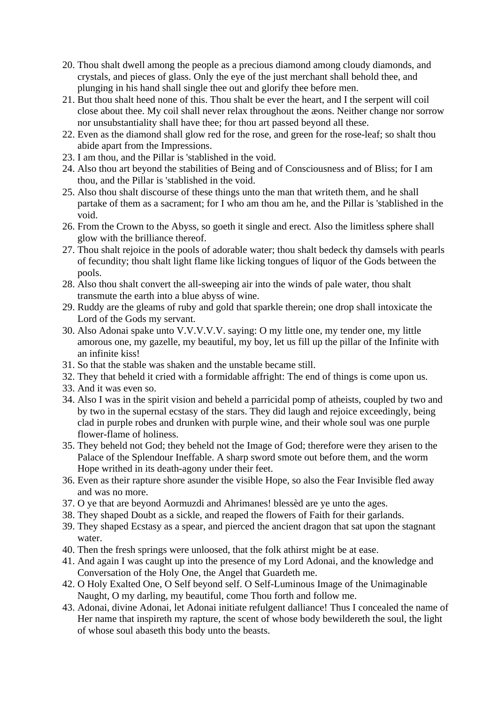- 20. Thou shalt dwell among the people as a precious diamond among cloudy diamonds, and crystals, and pieces of glass. Only the eye of the just merchant shall behold thee, and plunging in his hand shall single thee out and glorify thee before men.
- 21. But thou shalt heed none of this. Thou shalt be ever the heart, and I the serpent will coil close about thee. My coil shall never relax throughout the æons. Neither change nor sorrow nor unsubstantiality shall have thee; for thou art passed beyond all these.
- 22. Even as the diamond shall glow red for the rose, and green for the rose-leaf; so shalt thou abide apart from the Impressions.
- 23. I am thou, and the Pillar is 'stablished in the void.
- 24. Also thou art beyond the stabilities of Being and of Consciousness and of Bliss; for I am thou, and the Pillar is 'stablished in the void.
- 25. Also thou shalt discourse of these things unto the man that writeth them, and he shall partake of them as a sacrament; for I who am thou am he, and the Pillar is 'stablished in the void.
- 26. From the Crown to the Abyss, so goeth it single and erect. Also the limitless sphere shall glow with the brilliance thereof.
- 27. Thou shalt rejoice in the pools of adorable water; thou shalt bedeck thy damsels with pearls of fecundity; thou shalt light flame like licking tongues of liquor of the Gods between the pools.
- 28. Also thou shalt convert the all-sweeping air into the winds of pale water, thou shalt transmute the earth into a blue abyss of wine.
- 29. Ruddy are the gleams of ruby and gold that sparkle therein; one drop shall intoxicate the Lord of the Gods my servant.
- 30. Also Adonai spake unto V.V.V.V.V. saying: O my little one, my tender one, my little amorous one, my gazelle, my beautiful, my boy, let us fill up the pillar of the Infinite with an infinite kiss!
- 31. So that the stable was shaken and the unstable became still.
- 32. They that beheld it cried with a formidable affright: The end of things is come upon us.
- 33. And it was even so.
- 34. Also I was in the spirit vision and beheld a parricidal pomp of atheists, coupled by two and by two in the supernal ecstasy of the stars. They did laugh and rejoice exceedingly, being clad in purple robes and drunken with purple wine, and their whole soul was one purple flower-flame of holiness.
- 35. They beheld not God; they beheld not the Image of God; therefore were they arisen to the Palace of the Splendour Ineffable. A sharp sword smote out before them, and the worm Hope writhed in its death-agony under their feet.
- 36. Even as their rapture shore asunder the visible Hope, so also the Fear Invisible fled away and was no more.
- 37. O ye that are beyond Aormuzdi and Ahrimanes! blessèd are ye unto the ages.
- 38. They shaped Doubt as a sickle, and reaped the flowers of Faith for their garlands.
- 39. They shaped Ecstasy as a spear, and pierced the ancient dragon that sat upon the stagnant water.
- 40. Then the fresh springs were unloosed, that the folk athirst might be at ease.
- 41. And again I was caught up into the presence of my Lord Adonai, and the knowledge and Conversation of the Holy One, the Angel that Guardeth me.
- 42. O Holy Exalted One, O Self beyond self. O Self-Luminous Image of the Unimaginable Naught, O my darling, my beautiful, come Thou forth and follow me.
- 43. Adonai, divine Adonai, let Adonai initiate refulgent dalliance! Thus I concealed the name of Her name that inspireth my rapture, the scent of whose body bewildereth the soul, the light of whose soul abaseth this body unto the beasts.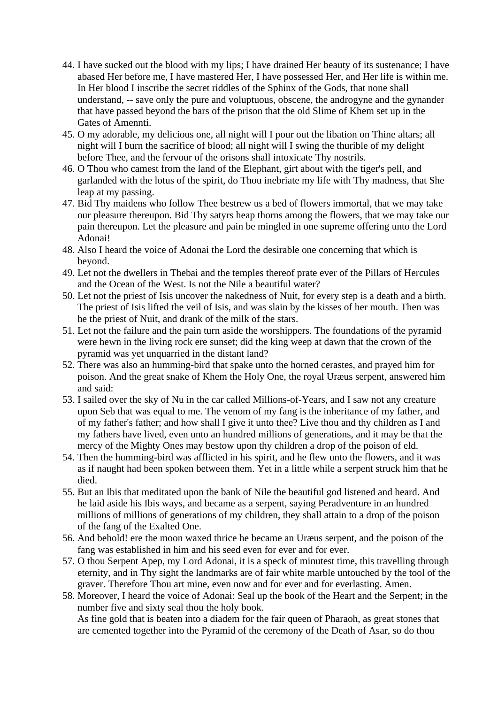- 44. I have sucked out the blood with my lips; I have drained Her beauty of its sustenance; I have abased Her before me, I have mastered Her, I have possessed Her, and Her life is within me. In Her blood I inscribe the secret riddles of the Sphinx of the Gods, that none shall understand, -- save only the pure and voluptuous, obscene, the androgyne and the gynander that have passed beyond the bars of the prison that the old Slime of Khem set up in the Gates of Amennti.
- 45. O my adorable, my delicious one, all night will I pour out the libation on Thine altars; all night will I burn the sacrifice of blood; all night will I swing the thurible of my delight before Thee, and the fervour of the orisons shall intoxicate Thy nostrils.
- 46. O Thou who camest from the land of the Elephant, girt about with the tiger's pell, and garlanded with the lotus of the spirit, do Thou inebriate my life with Thy madness, that She leap at my passing.
- 47. Bid Thy maidens who follow Thee bestrew us a bed of flowers immortal, that we may take our pleasure thereupon. Bid Thy satyrs heap thorns among the flowers, that we may take our pain thereupon. Let the pleasure and pain be mingled in one supreme offering unto the Lord Adonai!
- 48. Also I heard the voice of Adonai the Lord the desirable one concerning that which is beyond.
- 49. Let not the dwellers in Thebai and the temples thereof prate ever of the Pillars of Hercules and the Ocean of the West. Is not the Nile a beautiful water?
- 50. Let not the priest of Isis uncover the nakedness of Nuit, for every step is a death and a birth. The priest of Isis lifted the veil of Isis, and was slain by the kisses of her mouth. Then was he the priest of Nuit, and drank of the milk of the stars.
- 51. Let not the failure and the pain turn aside the worshippers. The foundations of the pyramid were hewn in the living rock ere sunset; did the king weep at dawn that the crown of the pyramid was yet unquarried in the distant land?
- 52. There was also an humming-bird that spake unto the horned cerastes, and prayed him for poison. And the great snake of Khem the Holy One, the royal Uræus serpent, answered him and said:
- 53. I sailed over the sky of Nu in the car called Millions-of-Years, and I saw not any creature upon Seb that was equal to me. The venom of my fang is the inheritance of my father, and of my father's father; and how shall I give it unto thee? Live thou and thy children as I and my fathers have lived, even unto an hundred millions of generations, and it may be that the mercy of the Mighty Ones may bestow upon thy children a drop of the poison of eld.
- 54. Then the humming-bird was afflicted in his spirit, and he flew unto the flowers, and it was as if naught had been spoken between them. Yet in a little while a serpent struck him that he died.
- 55. But an Ibis that meditated upon the bank of Nile the beautiful god listened and heard. And he laid aside his Ibis ways, and became as a serpent, saying Peradventure in an hundred millions of millions of generations of my children, they shall attain to a drop of the poison of the fang of the Exalted One.
- 56. And behold! ere the moon waxed thrice he became an Uræus serpent, and the poison of the fang was established in him and his seed even for ever and for ever.
- 57. O thou Serpent Apep, my Lord Adonai, it is a speck of minutest time, this travelling through eternity, and in Thy sight the landmarks are of fair white marble untouched by the tool of the graver. Therefore Thou art mine, even now and for ever and for everlasting. Amen.
- 58. Moreover, I heard the voice of Adonai: Seal up the book of the Heart and the Serpent; in the number five and sixty seal thou the holy book. As fine gold that is beaten into a diadem for the fair queen of Pharaoh, as great stones that are cemented together into the Pyramid of the ceremony of the Death of Asar, so do thou